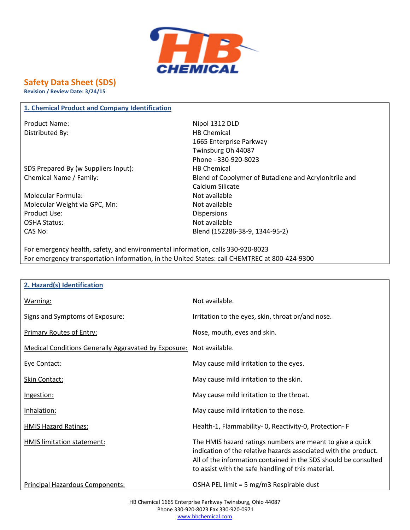

# **Safety Data Sheet (SDS)**

**Revision / Review Date: 3/24/15**

#### **1. Chemical Product and Company Identification**

Distributed By: Notice and Security Assembly the Chemical HB Chemical

SDS Prepared By (w Suppliers Input): HB Chemical

Molecular Formula: Not available Molecular Weight via GPC, Mn: Not available Product Use: Notice and Security 2012 19:00 Dispersions OSHA Status: Not available

Product Name: Nipol 1312 DLD 1665 Enterprise Parkway Twinsburg Oh 44087 Phone - 330-920-8023 Chemical Name / Family: Blend of Copolymer of Butadiene and Acrylonitrile and Calcium Silicate CAS No: Blend (152286-38-9, 1344-95-2)

For emergency health, safety, and environmental information, calls 330-920-8023 For emergency transportation information, in the United States: call CHEMTREC at 800-424-9300

| 2. Hazard(s) Identification                                 |                                                                                                                                                                                                                                                       |
|-------------------------------------------------------------|-------------------------------------------------------------------------------------------------------------------------------------------------------------------------------------------------------------------------------------------------------|
| Warning:                                                    | Not available.                                                                                                                                                                                                                                        |
| Signs and Symptoms of Exposure:                             | Irritation to the eyes, skin, throat or/and nose.                                                                                                                                                                                                     |
| <b>Primary Routes of Entry:</b>                             | Nose, mouth, eyes and skin.                                                                                                                                                                                                                           |
| <b>Medical Conditions Generally Aggravated by Exposure:</b> | Not available.                                                                                                                                                                                                                                        |
| Eye Contact:                                                | May cause mild irritation to the eyes.                                                                                                                                                                                                                |
| Skin Contact:                                               | May cause mild irritation to the skin.                                                                                                                                                                                                                |
| Ingestion:                                                  | May cause mild irritation to the throat.                                                                                                                                                                                                              |
| Inhalation:                                                 | May cause mild irritation to the nose.                                                                                                                                                                                                                |
| <b>HMIS Hazard Ratings:</b>                                 | Health-1, Flammability-0, Reactivity-0, Protection-F                                                                                                                                                                                                  |
| <b>HMIS limitation statement:</b>                           | The HMIS hazard ratings numbers are meant to give a quick<br>indication of the relative hazards associated with the product.<br>All of the information contained in the SDS should be consulted<br>to assist with the safe handling of this material. |
| Principal Hazardous Components:                             | OSHA PEL limit = 5 mg/m3 Respirable dust                                                                                                                                                                                                              |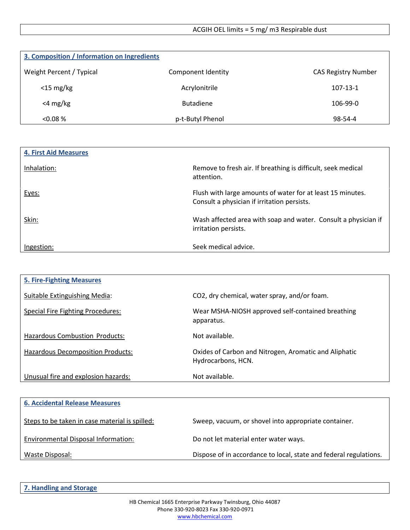| 3. Composition / Information on Ingredients |                    |                            |
|---------------------------------------------|--------------------|----------------------------|
| Weight Percent / Typical                    | Component Identity | <b>CAS Registry Number</b> |
| $<$ 15 mg/kg                                | Acrylonitrile      | $107 - 13 - 1$             |
| $<$ 4 mg/kg                                 | <b>Butadiene</b>   | 106-99-0                   |
| < 0.08 %                                    | p-t-Butyl Phenol   | 98-54-4                    |

| <b>4. First Aid Measures</b> |                                                                                                           |
|------------------------------|-----------------------------------------------------------------------------------------------------------|
| Inhalation:                  | Remove to fresh air. If breathing is difficult, seek medical<br>attention.                                |
| Eyes:                        | Flush with large amounts of water for at least 15 minutes.<br>Consult a physician if irritation persists. |
| Skin:                        | Wash affected area with soap and water. Consult a physician if<br>irritation persists.                    |
| Ingestion:                   | Seek medical advice.                                                                                      |

| <b>5. Fire-Fighting Measures</b>         |                                                                             |
|------------------------------------------|-----------------------------------------------------------------------------|
| Suitable Extinguishing Media:            | CO2, dry chemical, water spray, and/or foam.                                |
| <b>Special Fire Fighting Procedures:</b> | Wear MSHA-NIOSH approved self-contained breathing<br>apparatus.             |
| Hazardous Combustion Products:           | Not available.                                                              |
| <b>Hazardous Decomposition Products:</b> | Oxides of Carbon and Nitrogen, Aromatic and Aliphatic<br>Hydrocarbons, HCN. |
| Unusual fire and explosion hazards:      | Not available.                                                              |

| <b>6. Accidental Release Measures</b>          |                                                                   |
|------------------------------------------------|-------------------------------------------------------------------|
| Steps to be taken in case material is spilled: | Sweep, vacuum, or shovel into appropriate container.              |
| Environmental Disposal Information:            | Do not let material enter water ways.                             |
| Waste Disposal:                                | Dispose of in accordance to local, state and federal regulations. |

**7. Handling and Storage**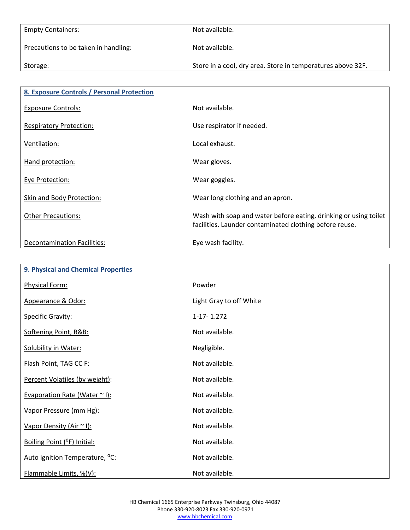Empty Containers: Not available. Precautions to be taken in handling: Not available. Storage: Store in a cool, dry area. Store in temperatures above 32F.

| 8. Exposure Controls / Personal Protection |                                                                                                                             |
|--------------------------------------------|-----------------------------------------------------------------------------------------------------------------------------|
| <b>Exposure Controls:</b>                  | Not available.                                                                                                              |
| <b>Respiratory Protection:</b>             | Use respirator if needed.                                                                                                   |
| Ventilation:                               | Local exhaust.                                                                                                              |
| Hand protection:                           | Wear gloves.                                                                                                                |
| <b>Eye Protection:</b>                     | Wear goggles.                                                                                                               |
| Skin and Body Protection:                  | Wear long clothing and an apron.                                                                                            |
| <b>Other Precautions:</b>                  | Wash with soap and water before eating, drinking or using toilet<br>facilities. Launder contaminated clothing before reuse. |
| Decontamination Facilities:                | Eye wash facility.                                                                                                          |

| 9. Physical and Chemical Properties        |                         |
|--------------------------------------------|-------------------------|
| Physical Form:                             | Powder                  |
| Appearance & Odor:                         | Light Gray to off White |
| <b>Specific Gravity:</b>                   | $1-17-1.272$            |
| Softening Point, R&B:                      | Not available.          |
| Solubility in Water:                       | Negligible.             |
| Flash Point, TAG CC F:                     | Not available.          |
| Percent Volatiles (by weight):             | Not available.          |
| Evaporation Rate (Water ~ I):              | Not available.          |
| Vapor Pressure (mm Hg):                    | Not available.          |
| Vapor Density (Air ~ I):                   | Not available.          |
| Boiling Point (°F) Initial:                | Not available.          |
| Auto ignition Temperature, <sup>o</sup> C: | Not available.          |
| Flammable Limits, %(V):                    | Not available.          |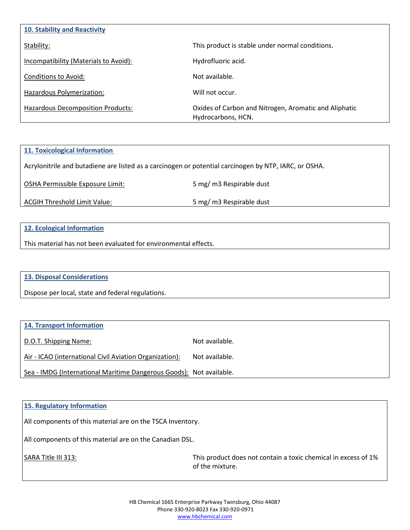| 10. Stability and Reactivity             |                                                                             |
|------------------------------------------|-----------------------------------------------------------------------------|
| Stability:                               | This product is stable under normal conditions.                             |
| Incompatibility (Materials to Avoid):    | Hydrofluoric acid.                                                          |
| Conditions to Avoid:                     | Not available.                                                              |
| Hazardous Polymerization:                | Will not occur.                                                             |
| <b>Hazardous Decomposition Products:</b> | Oxides of Carbon and Nitrogen, Aromatic and Aliphatic<br>Hydrocarbons, HCN. |

## **11. Toxicological Information**

Acrylonitrile and butadiene are listed as a carcinogen or potential carcinogen by NTP, IARC, or OSHA.

OSHA Permissible Exposure Limit: 5 mg/ m3 Respirable dust

ACGIH Threshold Limit Value: 5 mg/ m3 Respirable dust

## **12. Ecological Information**

This material has not been evaluated for environmental effects.

## **13. Disposal Considerations**

Dispose per local, state and federal regulations.

## **14. Transport Information**

D.O.T. Shipping Name: Not available.

Air - ICAO (international Civil Aviation Organization): Not available.

Sea - IMDG (International Maritime Dangerous Goods): Not available.

#### **15. Regulatory Information**

All components of this material are on the TSCA Inventory.

All components of this material are on the Canadian DSL.

SARA Title III 313: SARA Title III 313: This product does not contain a toxic chemical in excess of 1% of the mixture.